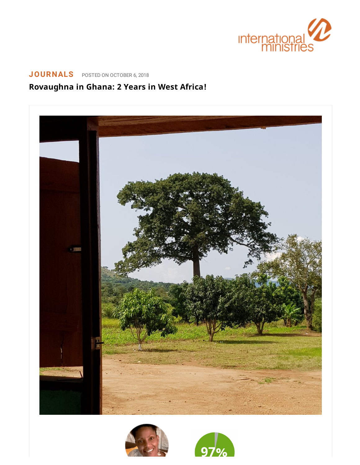

## **[JOURNALS](https://www.internationalministries.org/category/journals/)** POSTED ON OCTOBER 6, 2018

## **Rovaughna in Ghana: 2 Years in West Africa!**





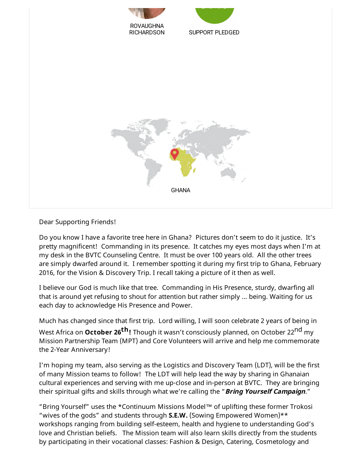

Dear Supporting Friends!

Do you know I have a favorite tree here in Ghana? Pictures don't seem to do it justice. It's pretty magnificent! Commanding in its presence. It catches my eyes most days when I'm at my desk in the BVTC Counseling Centre. It must be over 100 years old. All the other trees are simply dwarfed around it. I remember spotting it during my first trip to Ghana, February 2016, for the Vision & Discovery Trip. I recall taking a picture of it then as well.

I believe our God is much like that tree. Commanding in His Presence, sturdy, dwarfing all that is around yet refusing to shout for attention but rather simply … being. Waiting for us each day to acknowledge His Presence and Power.

Much has changed since that first trip. Lord willing, I will soon celebrate 2 years of being in West Africa on **October 26 th!** Though it wasn't consciously planned, on October 22nd my Mission Partnership Team (MPT) and Core Volunteers will arrive and help me commemorate the 2-Year Anniversary!

I'm hoping my team, also serving as the Logistics and Discovery Team (LDT), will be the first of many Mission teams to follow! The LDT will help lead the way by sharing in Ghanaian cultural experiences and serving with me up-close and in-person at BVTC. They are bringing their spiritual gifts and skills through what we're calling the "**Bring Yourself Campaign**."

"Bring Yourself" uses the \*Continuum Missions Model™ of uplifting these former Trokosi "wives of the gods" and students through **S.E.W.** (Sowing Empowered Women)\*\* workshops ranging from building self-esteem, health and hygiene to understanding God's love and Christian beliefs. The Mission team will also learn skills directly from the students by participating in their vocational classes: Fashion & Design, Catering, Cosmetology and